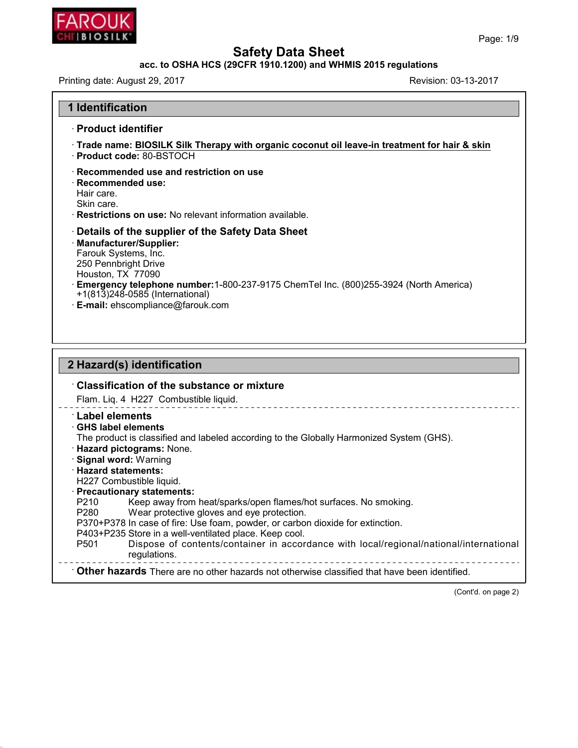

45.2.18

# **Safety Data Sheet<br>acc. to OSHA HCS (29CFR 1910.1200) and WHMIS 2015 regulations<br>st 29, 2017<br>Revision: 03-13-**

| ,, ,, , , , , ,<br>CHI BIOSILK <sup>*</sup>                                                                                                                                                                                                                                                                                                                                                                          | Page: 1/9                                                                                                                                                                                                                                              |
|----------------------------------------------------------------------------------------------------------------------------------------------------------------------------------------------------------------------------------------------------------------------------------------------------------------------------------------------------------------------------------------------------------------------|--------------------------------------------------------------------------------------------------------------------------------------------------------------------------------------------------------------------------------------------------------|
|                                                                                                                                                                                                                                                                                                                                                                                                                      | <b>Safety Data Sheet</b>                                                                                                                                                                                                                               |
|                                                                                                                                                                                                                                                                                                                                                                                                                      | acc. to OSHA HCS (29CFR 1910.1200) and WHMIS 2015 regulations<br>Revision: 03-13-2017                                                                                                                                                                  |
| Printing date: August 29, 2017                                                                                                                                                                                                                                                                                                                                                                                       |                                                                                                                                                                                                                                                        |
| <b>1 Identification</b>                                                                                                                                                                                                                                                                                                                                                                                              |                                                                                                                                                                                                                                                        |
| · Product identifier                                                                                                                                                                                                                                                                                                                                                                                                 |                                                                                                                                                                                                                                                        |
| · Product code: 80-BSTOCH                                                                                                                                                                                                                                                                                                                                                                                            | Trade name: BIOSILK Silk Therapy with organic coconut oil leave-in treatment for hair & skin                                                                                                                                                           |
| Recommended use and restriction on use<br>$\cdot$ Recommended use:<br>Hair care.<br>Skin care.<br>Restrictions on use: No relevant information available.                                                                                                                                                                                                                                                            |                                                                                                                                                                                                                                                        |
| Details of the supplier of the Safety Data Sheet<br>· Manufacturer/Supplier:<br>Farouk Systems, Inc.<br>250 Pennbright Drive<br>Houston, TX 77090<br>+1(813)248-0585 (International)<br>· E-mail: ehscompliance@farouk.com                                                                                                                                                                                           | Emergency telephone number:1-800-237-9175 ChemTel Inc. (800)255-3924 (North America)                                                                                                                                                                   |
| 2 Hazard(s) identification                                                                                                                                                                                                                                                                                                                                                                                           |                                                                                                                                                                                                                                                        |
| $\cdot$ Classification of the substance or mixture                                                                                                                                                                                                                                                                                                                                                                   |                                                                                                                                                                                                                                                        |
| Flam. Liq. 4 H227 Combustible liquid.                                                                                                                                                                                                                                                                                                                                                                                |                                                                                                                                                                                                                                                        |
| <b>Label elements</b><br><b>GHS label elements</b><br>· Hazard pictograms: None.<br><b>Signal word: Warning</b><br>· Hazard statements:<br>H227 Combustible liquid.<br>· Precautionary statements:<br>P210<br>P280<br>Wear protective gloves and eye protection.<br>P370+P378 In case of fire: Use foam, powder, or carbon dioxide for extinction.<br>P403+P235 Store in a well-ventilated place. Keep cool.<br>P501 | The product is classified and labeled according to the Globally Harmonized System (GHS).<br>Keep away from heat/sparks/open flames/hot surfaces. No smoking.<br>Dispose of contents/container in accordance with local/regional/national/international |

regulations. P403+P235 Store in a well-ventilated place. Keep cool.<br>
P501 Dispose of contents/container in accordance with local/regional/national/international<br>
regulations.<br> **Other hazards** There are no other hazards not otherwise cl -------------<br>
Fied.<br>
(Cont'd. on page 2)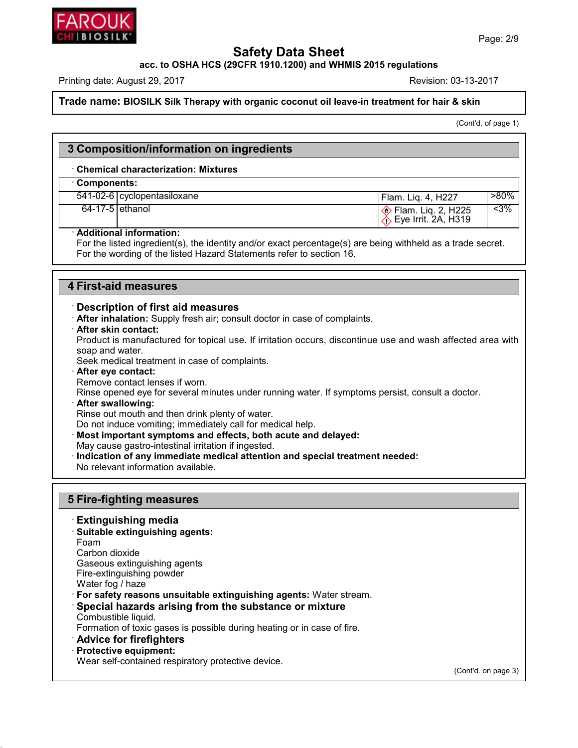

**Trade name: BIOSILK Silk Therapy with organic coconut oil leave-in treatment for hair & skin**<br> **Printing date: August 29, 2017**<br> **Trade name: BIOSILK Silk Therapy with organic coconut oil leave-in treatment for hair & ski** 

 $\frac{1}{k}$  skin<br>
(Cont'd. of page 1)

|                 |                                                                                                   |                                                                                                             | (Cont'd. of page 1) |
|-----------------|---------------------------------------------------------------------------------------------------|-------------------------------------------------------------------------------------------------------------|---------------------|
|                 | 3 Composition/information on ingredients                                                          |                                                                                                             |                     |
|                 | <b>Chemical characterization: Mixtures</b>                                                        |                                                                                                             |                     |
| Components:     |                                                                                                   |                                                                                                             |                     |
|                 | 541-02-6   cyclopentasiloxane                                                                     | Flam. Liq. 4, H227                                                                                          | $>80\%$             |
| 64-17-5 ethanol |                                                                                                   | ◈ Flam. Liq. 2, H225<br>① Eye Irrit. 2A, H319                                                               | $3%$                |
|                 | · Additional information:<br>For the wording of the listed Hazard Statements refer to section 16. | For the listed ingredient(s), the identity and/or exact percentage(s) are being withheld as a trade secret. |                     |
|                 |                                                                                                   |                                                                                                             |                     |
|                 | 4 First-aid measures                                                                              |                                                                                                             |                     |

For the wording of the listed Hazard Statements r<br> **First-aid measures**<br> **Description of first aid measures**<br> **After inhalation:** Supply fresh air; consult doctor<br> **After skin contact:** 

- 
- 

**First-aid measures**<br> **· Description of first aid measures**<br> **· After inhalation:** Supply fresh air; consult doctor in case of complaints.<br> **· After skin contact:**<br>
Product is manufactured for topical use. If irritation oc **PIPST-ald measures**<br> **Description of first aid measures**<br> **After inhalation**: Supply fresh air; consult doctor in case of complaints.<br> **After skin contact:**<br>
Product is manufactured for topical use. If irritation occurs, **Example 15 Tends 10 Tends 10 Tends 10 Tends 10 Tends 10 Tends 10 Tends 10 Tends 10 Tends 10 Tends 10 Tends 10 Tends 10 Tends 10 Tends 10 Teek medical treatment in case of complaints.**<br> **After eve contact: Example 12 CONDE After inhalation:** Supply fresh air; consult doctor in case of complaints.<br> **After skin contact:**<br>
Product is manufactured for topical use. If irritation occurs, discontinue use and wash affected a<br>
soap After skin contact:<br>Product is manufactured for topical use. If ir<br>soap and water.<br>Seek medical treatment in case of complaint:<br>After eye contact lenses if worn.<br>Rinse opened eye for several minutes under<br>After swallowing: Product is manufactured for topical use. If irritation occurs, discontinue use and wash affected area with<br>soap and water.<br>Seek medical treatment in case of complaints.<br>**After eye contact:**<br>Rimse opened eye for several min

- 
- 
- Seek medical treatment in case of complaints.<br>**After eye contact:**<br>Remove contact lenses if worn.<br>Rinse opened eye for several minutes under running water.<br>**After swallowing:**<br>Rinse out mouth and then drink plenty of water Or After eye contact:<br>
Rimove contact lenses if worn.<br>
Rinse opened eye for several minutes under running water. If symptoms persi-<br> **After swallowing:**<br>
Rinse out mouth and then drink plenty of water.<br>
Do not induce vomit

Rinse out mouth and then drink plenty of w<br>Do not induce vomiting; immediately call fo<br>**Most important symptoms and effects, l**<br>May cause gastro-intestinal irritation if inge<br>**Indication of any immediate medical atte**<br>No r

- Rinse opened eye for several minutes under running water. If symptoms persist, consult a dc<br> **After swallowing:**<br>
Rinse out mouth and then drink plenty of water.<br>
Do not induce vomiting; immediately call for medical help.<br> • **Most important symptoms and enects**<br>
May cause gastro-intestinal irritation if ing<br> **Indication of any immediate medical a**<br>
No relevant information available.<br>
5 Fire-fighting measures<br>
Extinguishing media
- No relevant information available.<br> **Extinguishing measures<br>
Extinguishing media**<br>
Suitable extinguishing agents:<br>
Foam

- 
- **Fire-fighting measures<br>· Extinguishing media<br>· Suitable extinguishing agents:**<br>Foam<br>Carbon dioxide

45.2.18

Foam<br>Carbon dioxide

**Fire-fighting measure**<br> **Extinguishing media**<br> **Suitable extinguishing ag<br>
Foam<br>
Carbon dioxide<br>
Gaseous extinguishing age<br>
Fire-extinguishing powder Extinguishing media<br>Suitable extinguishing agents:**<br>Foam<br>Carbon dioxide<br>Gaseous extinguishing agents<br>Fire-extinguishing powder<br>Water foo / haze Extinguishing media<br>Suitable extinguishing agents:<br>Foam<br>Carbon dioxide<br>Gaseous extinguishing agents<br>Fire-extinguishing powder<br>Water fog / haze<br>For safety reasons unsuitable extin

Gaseous extinguishing agents<br>
Fire-extinguishing powder<br>
Water fog / haze<br>
'For safety reasons unsuitable extinguishing agents: Water stream.<br>
'Special hazards arising from the substance or mixture

Foam<br>
Carbon dioxide<br>
Gaseous extinguishing agents<br>
Fire-extinguishing powder<br>
Water fog / haze<br> **· For safety reasons unsuitable extinguishing agents:** Water stream.<br> **· Special hazards arising from the substance or mixtu** Gaseous extinguishing agents<br>Fire-extinguishing powder<br>Water fog / haze<br>**For safety reasons unsuitable<br>Special hazards arising fro**<br>Combustible liquid.<br>Formation of toxic gases is poss<br>Advice for firefighters Fire-extinguishing powder<br>
Water fog / haze<br> **For safety reasons unsuitable extinguishing agents:** Water stream.<br> **Special hazards arising from the substance or mixture**<br>
Combustible liquid.<br>
Formation of toxic gases is po • **Protectly Fundrey Conducts**<br>• **Special hazards arising fr**<br>• Combustible liquid.<br>• Formation of toxic gases is positions.<br>• **Advice for firefighters**<br>• **Protective equipment:**<br>• Wear self-contained respirator Special nazards arising from the substance or mixtude combustible liquid.<br>
Formation of toxic gases is possible during heating or in case<br> **Advice for firefighters**<br> **Protective equipment:**<br>
Wear self-contained respiratory

- 
- 

(Cont'd. on page 3)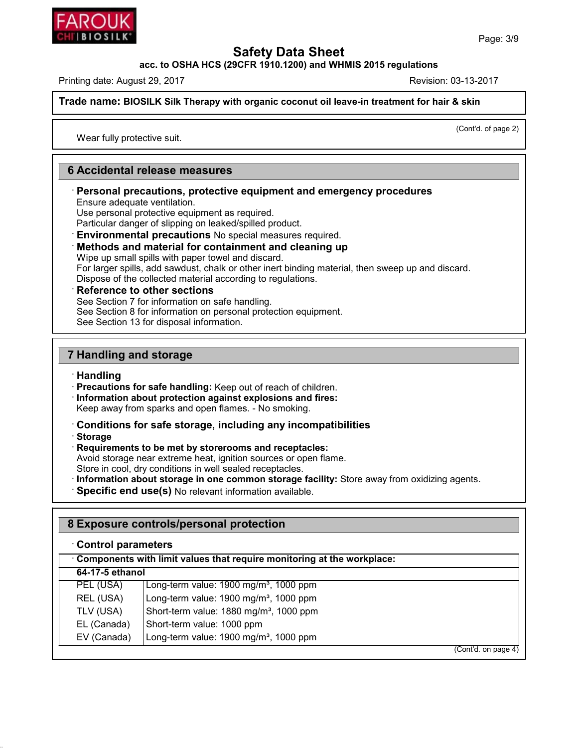**THE STREET STREET SERVIER SHEET ACC. TO OSHA HCS (29CFR 1910.1200) and WHMIS 2015 regulations<br>
Printing date: August 29, 2017<br>
<b>Trade name:** BIOSILK Silk Therapy with organic coconut oil leave-in treatment for hair & skin Trade name: BIOSILK Silk Therapy with organic coconut oil leave-in treatment for hair & skin<br>
Wear fully protective suit.

 $\frac{1}{k}$  skin<br>(Cont'd. of page 2)

## **6** Accidental release measures<br>
Personal precautions, protective equipm **Example 3**<br> **Example 3**<br> **Personal precautions, protective equipment and emergency procedures<br>
Ensure adequate ventilation.<br>
Use personal protective equipment as required.<br>
Particular danger of slipping on leaked/spilled** Accidental release measures<br>
Personal precautions, protective equipment and<br>
Ensure adequate ventilation.<br>
Use personal protective equipment as required.<br>
Particular danger of slipping on leaked/spilled product.<br>
Environme **Particular danger of slipping on leaked/spilled product.**<br> **Particular danger of slipping on leaked/spilled product.**<br> **Particular danger of slipping on leaked/spilled product.**<br> **Particular danger of slipping on leaked/s**

## Ensure adequate ventilation.<br>
Use personal protective equipment as required.<br>
Particular danger of slipping on leaked/spilled product.<br> **Environmental precautions** No special measures required.<br> **Methods and material for c**

Designal protective equipment as required.<br>Farticular danger of slipping on leaked/spilled product.<br>**Environmental precautions** No special measures required.<br>**Methods and material for containment and cleaning up**<br>Wipe up s Particular dariger of suppling of leaked/spilled product.<br> **Environmental precautions** No special measures required.<br> **Methods and material for containment and cleaning up**<br>
Wipe up small spills with paper towel and discar Wipe up small spills with paper towel and discard.<br>For larger spills, add sawdust, chalk or other inert binding material, then<br>Dispose of the collected material according to regulations.<br>**Reference to other sections**<br>See S For larger spills, add sawdust, chalk or other in<br>Dispose of the collected material according to r<br>**Reference to other sections**<br>See Section 7 for information on safe handling.<br>See Section 8 for information on personal pro

**Reference to other sections**<br>
See Section 7 for information on safe hal<br>
See Section 8 for information on personal<br>
See Section 13 for disposal information.<br> **7 Handling and storage**<br> **Handling** 

· **Handling**

**Precautions for safe handling:** Keep out of reach of children.<br> **Consequent Precautions for safe handling:** Keep out of reach of children.<br> **Precaution about protection against explosions and fires:**<br> **Reep away from spar** 

- From Standard Storage<br>
Frecautions for safe handling: Keep out of reach of children.<br>
Information about protection against explosions and fires:<br>
Keep away from sparks and open flames. No smoking.<br>
Conditions for safe st Keep away from sparks and open flames. - No smoking.<br> **Conditions for safe storage, including any incompatibilities**<br> **Storage<br>
Requirements to be met by storerooms and receptacles:**<br>
Avoid storage near extreme heat, ignit
- 

45.2.18

· **Storage** • **Information about protection against explosions and fires:**<br>• Keep away from sparks and open flames. • No smoking.<br>• **Conditions for safe storage, including any incompatibili**<br>• **Storage**<br>• **Requirements to be met by st** 

- 
- 

## Storage<br>
Storage<br>
Requirements to be met by storerooms and receptacles:<br>
Avoid storage near extreme heat, ignition sources or open flame.<br>
Store in cool, dry conditions in well sealed receptacles.<br> **Information about stora** Avold storage hear extreme heat, ignition sources or open hand<br>Store in cool, dry conditions in well sealed receptacles.<br>**1. Information about storage in one common storage facility:**<br>**8. Exposure controls/personal protect** • **Specific end use(s)** No releva<br> **BExposure controls/person**<br>
• **Control parameters**<br>
• **Components with limit values t Exposure controls/personal protection**<br>· Control parameters<br>· Components with limit values that require monitoring at the workplace:<br>64-17-5 ethanol Exposure controls/pe<br>Control parameters<br>Components with limit va<br>64-17-5 ethanol<br>PEL (USA) Long-term **Control parameters**<br> **Components with limit values that require monitoring at the workpl<br>
64-17-5 ethanol<br>
PEL (USA) Long-term value: 1900 mg/m<sup>3</sup>, 1000 ppm<br>
REL (USA) Long-term value: 1900 mg/m<sup>3</sup>, 1000 ppm Components with limit values that require monitoring at the workpl<br>64-17-5 ethanol<br>PEL (USA) Long-term value: 1900 mg/m<sup>3</sup>, 1000 ppm<br>REL (USA) Long-term value: 1900 mg/m<sup>3</sup>, 1000 ppm<br>TLV (USA) Short-term value: 1880 mg/m Components with limit values that require monitoring at the workpla<br>
64-17-5 ethanol<br>
PEL (USA) Long-term value: 1900 mg/m<sup>3</sup>, 1000 ppm<br>
REL (USA) Long-term value: 1900 mg/m<sup>3</sup>, 1000 ppm<br>
TLV (USA) Short-term value: 1880** 64-17-5 ethanol<br>
PEL (USA) Long-term value: 1900 mg/m<sup>3</sup>, 1000 ppm<br>
REL (USA) Long-term value: 1900 mg/m<sup>3</sup>, 1000 ppm<br>
TLV (USA) Short-term value: 1880 mg/m<sup>3</sup>, 1000 ppm<br>
EV (Canada) Long-term value: 1900 mg/m<sup>3</sup>, 1000 pp PEL (USA) Long-term value: 1900 mg/m<sup>3</sup>, 1000 ppm<br>
REL (USA) Long-term value: 1900 mg/m<sup>3</sup>, 1000 ppm<br>
TLV (USA) Short-term value: 1880 mg/m<sup>3</sup>, 1000 ppm<br>
EL (Canada) Short-term value: 1000 ppm<br>
EV (Canada) Long-term value: (Cont'd. on page 4)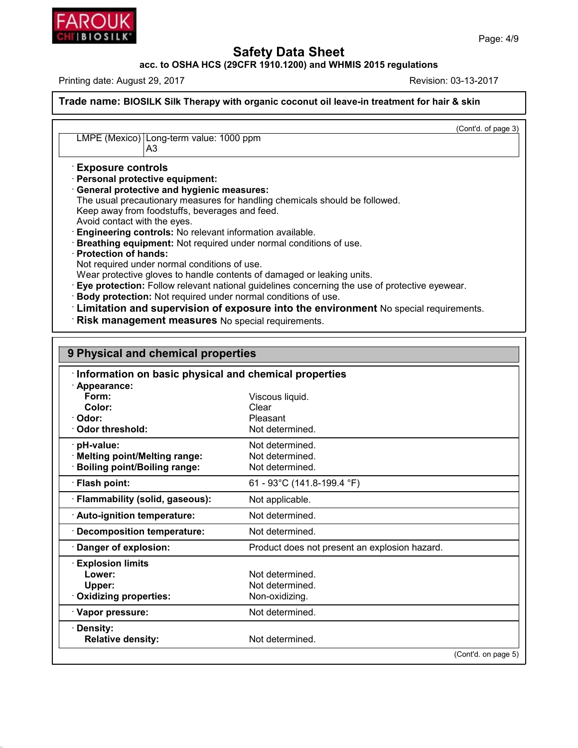

**Safety Data Sheet<br>PCFR 1910.1200) and WHMIS 2015 regulat<br>Re acc. to OSHA HCS (29CFR 1910.1200) and WHMIS 2015 regulations<br>Printing date: August 29, 2017 <b>Revision: 03-13-2017** 

PRITE IOSILIC<br>
acc. to OSHA HCS (29CFR 1910.1200) and WHMIS 2015 regulations<br>
Printing date: August 29, 2017<br>
Revision: 03-13-2017<br>
Revision: 03-13-2017<br>
Revision: 03-13-2017 **THE STREET STREET SAMPLE SAMPLE 2015**<br> **REPREND AT A SHARE SERVIOR DATA SERVIDE SAMPLE SERVIDE SERVIDE SERVIDE SERVIDE SERVIDE SERVIDE SERVIDE SERVIDE SERVIDE SERVIDE SERVIDE SERVIDE SERVIDE SERVIDE SERVIDE SERVIDE SERVID**  $\frac{1}{k}$  skin<br>(Cont'd. of page 3) LMPE (Mexico) Long-term value: 1000 ppm A3 **EXPLACE (Mexico)** Long-term value<br>
A3<br> **Exposure controls**<br>
Personal protective equipment<br> **General protective and hygieni LMPE (Mexico)** Long-term value: 1000 p<br>A3<br>**Exposure controls**<br>**Personal protective equipment:**<br>**General protective and hygienic meas**<br>The usual precautionary measures for ha LMPE (Mexico) Long-term value: 1000 ppm<br>
A3<br> **Exposure controls**<br> **Personal protective equipment:**<br> **General protective and hygienic measures:**<br>
The usual precautionary measures for handling chemi<br>
Keep away from foodstuff A3<br>
Exposure controls<br>
Personal protective equipment:<br>
General protective and hygienic measures:<br>
The usual precautionary measures for handling chemicals should be followed.<br>
Keep away from foodstuffs, beverages and feed.<br> Exposure controls<br>
Personal protective equipment:<br>
General protective and hygienic measures:<br>
The usual precautionary measures for handling chemicals sho<br>
Keep away from foodstuffs, beverages and feed.<br>
Avoid contact with **Exposure controls**<br> **Personal protective equipment:**<br> **Ceneral protective and hygienic measures:**<br>
The usual precautionary measures for handling chemicals should be followed.<br> **Keep away from foodstuffs, beverages and fee** Keep away from foodstuffs, beverages and feed.<br>
Avoid contact with the eyes.<br> **Conditions Controls:** No relevant information available.<br> **Conditions of use.**<br> **Protection of hands:**<br>
Not required under normal conditions of Avoid contact with the eyes.<br>
• Engineering controls: No relevant information available.<br>
• Breathing equipment: Not required under normal conditions of use.<br>
• Protection of hands:<br>
• Not required under normal conditions Body protection: Not required under normal conditions of use.<br> **19 Expanding Limitation and supervision of exposure into the environment** No special requirements.<br> **19 Physical and chemical properties** • Risk management measures No special requirements.<br>
• **Information on basic physical and chemical properties**<br>
• **Information on basic physical and chemical properties**<br>
• **Appearance:**<br>
• Form: **Form:** Viscous liquid.

| Form:                               | Viscous liquid.                               |
|-------------------------------------|-----------------------------------------------|
| Color:                              | Clear                                         |
| Odor:                               | Pleasant                                      |
| Odor threshold:                     | Not determined.                               |
| pH-value:                           | Not determined.                               |
| <b>Melting point/Melting range:</b> | Not determined.                               |
| <b>Boiling point/Boiling range:</b> | Not determined.                               |
| · Flash point:                      | 61 - 93°C (141.8-199.4 °F)                    |
| · Flammability (solid, gaseous):    | Not applicable.                               |
| · Auto-ignition temperature:        | Not determined.                               |
| Decomposition temperature:          | Not determined.                               |
| Danger of explosion:                | Product does not present an explosion hazard. |
| <b>Explosion limits</b>             |                                               |
| Lower:                              | Not determined.                               |
| Upper:                              | Not determined.                               |
| <b>Oxidizing properties:</b>        | Non-oxidizing.                                |
| · Vapor pressure:                   | Not determined.                               |
| <b>Density:</b>                     |                                               |
| <b>Relative density:</b>            | Not determined.                               |
|                                     | (Cont'd. on page 5)                           |



45.2.18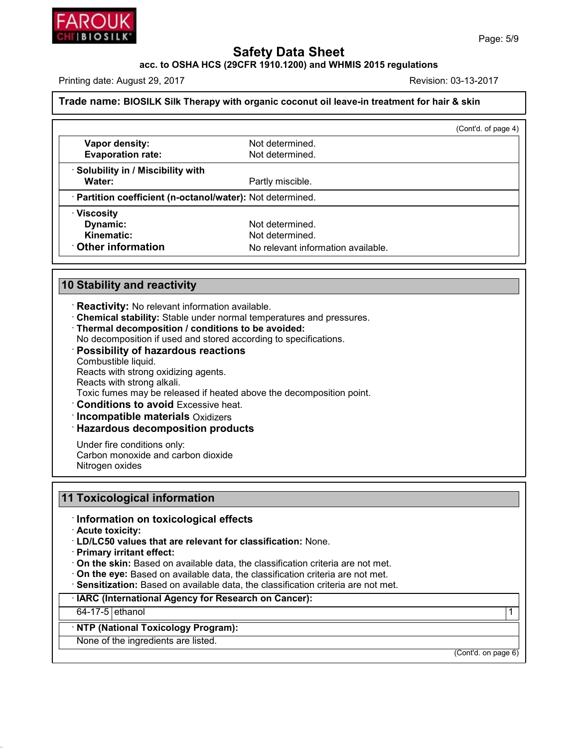

## Trade name: BIOSILK Silk Therapy with organic coconut oil leave-in treatment for hair & skin

| <b>Safety Data Sheet</b><br>acc. to OSHA HCS (29CFR 1910.1200) and WHMIS 2015 regulations |                                                                                              |                      |  |  |
|-------------------------------------------------------------------------------------------|----------------------------------------------------------------------------------------------|----------------------|--|--|
| Printing date: August 29, 2017                                                            |                                                                                              | Revision: 03-13-2017 |  |  |
|                                                                                           | Trade name: BIOSILK Silk Therapy with organic coconut oil leave-in treatment for hair & skin |                      |  |  |
|                                                                                           |                                                                                              | (Cont'd. of page 4)  |  |  |
| Vapor density:<br><b>Evaporation rate:</b>                                                | Not determined.<br>Not determined.                                                           |                      |  |  |
| <b>Solubility in / Miscibility with</b><br>Water:                                         | Partly miscible.                                                                             |                      |  |  |
| · Partition coefficient (n-octanol/water): Not determined.                                |                                                                                              |                      |  |  |
| · Viscosity<br>Dynamic:<br><b>Kinematic:</b><br><b>Other information</b>                  | Not determined.<br>Not determined.<br>No relevant information available.                     |                      |  |  |
| <b>10 Stability and reactivity</b>                                                        |                                                                                              |                      |  |  |

- 
- **Stability and reactivity<br>• Reactivity:** No relevant information available.<br>• **Chemical stability:** Stable under normal temperatures and pressures.<br>• **Thermal decomposition / conditions to be avoided:**<br>• **Possibility of**
- 
- 

## **Reactivity:** No relevant information available.<br> **Chemical stability:** Stable under normal temperatures and pressure:<br> **Thermal decomposition / conditions to be avoided:**<br>
No decomposition if used and stored according to Thermal decomposition / conditions to be avoided:<br>No decomposition if used and stored according to specifications.<br>Possibility of hazardous reactions<br>Combustible liquid.<br>Reacts with strong oxidizing agents.<br>Reacts with str  $\cdot$  Possibility of hazardous reactions No decomposition if used and stored according to specifications.<br> **Possibility of hazardous reactions**<br>
Combustible liquid.<br>
Reacts with strong aikali.<br>
Toxic fumes may be released if heated above the decomposition point.<br>

· Incompatible materials Oxidizers

 $\cdot$  Hazardous decomposition products

Toxic fumes may be released if heated above the decomposition point.<br> **Conditions to avoid** Excessive heat.<br> **Incompatible materials** Oxidizers<br> **Hazardous decomposition products**<br>
Under fire conditions only:<br>
Carbon monox **Conditions to avoid Excessive heat.**<br> **Incompatible materials** Oxidizers<br> **Hazardous decomposition produc**<br>
Under fire conditions only:<br>
Carbon monoxide and carbon dioxide<br>
Nitrogen oxides

## **11 Toxicological information**<br>Information on toxicological<br>Acute toxicity:<br>LD/LC50 values that are relevar<br>Primary irritant effect:

## **11 Information on toxicological effects**<br>**12 Acute toxicity:**

· LD/LC50 values that are relevant for classification: None.

- 
- **On the skin:** Based on available data, the classification criteria are not met.<br>**· On the eye:** Based on available data, the classification criteria are not met.
- 
- Information on toxicological effects<br>
LD/LC50 values that are relevant for classification: None.<br>
Primary irritant effect:<br>
On the skin: Based on available data, the classification criteria are not met.<br>
On the eye: Based On the skin: Based on available data, the classification criteria are not met.<br>
On the eye: Based on available data, the classification criteria are not met.<br>
Sensitization: Based on available data, the classification crit • **On the eye:** Based on available data, the class<br>• **Sensitization:** Based on available data, the class<br>• **IARC (International Agency for Research on**<br>• **NTP (National Toxicology Program):**<br>• None of the ingredients are l

## Sensitization: Based on available data, the claims<br>IARC (International Agency for Research on<br>64-17-5 ethanol<br>NTP (National Toxicology Program):<br>None of the ingredients are listed.

45.2.18

 $\begin{array}{c|c} \hline \text{(Cont'd. on page 6)} \end{array}$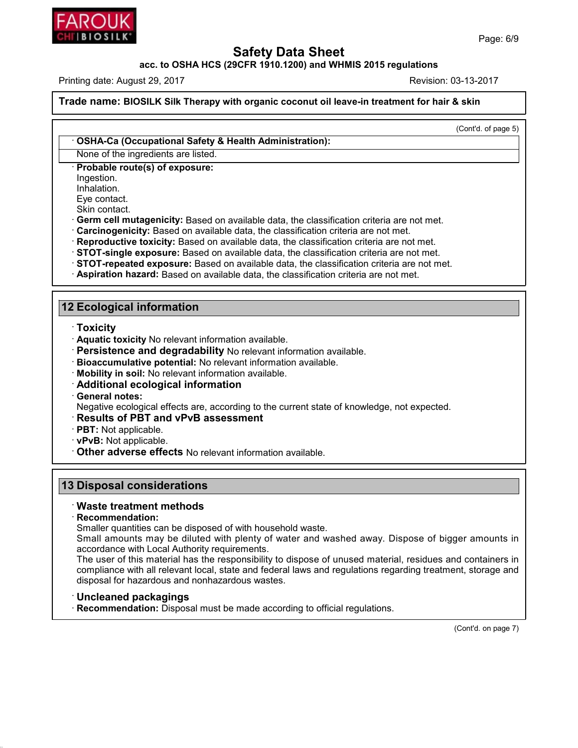

**THE STREET STREET SERVIER SHEET ACC. TO OSHA HCS (29CFR 1910.1200) and WHMIS 2015 regulations<br>
Printing date: August 29, 2017<br>
<b>Trade name:** BIOSILK Silk Therapy with organic coconut oil leave-in treatment for hair & skin **Trade name: BIOSILK Silk Therapy with organic coconut oil leave-in treatment for hair & skin**<br> **Continent COSHA-Ca (Occupational Safety & Health Administration):**<br>
None of the ingredients are listed.<br>
Probable route(s) of

 $\frac{1}{k}$  skin<br>
(Cont'd. of page 5)

**Example 3 Analytical Server OSHA-Ca (Occupational Safety & Health Ad<br>
· OSHA-Ca (Occupational Safety & Health Ad<br>
· Probable route(s) of exposure:<br>
· Ingestion.<br>
Inhalation.** Ingestion.

Inhalation.

- None of the ingredients are listed.<br> **Probable route(s) of exposure:**<br>
Ingestion.<br>
Inhalation.<br>
Eye contact.<br>
Skin contact.<br> **Germ cell mutagenicity:** Based on available data, the classification criteria are not met.
- 
- 
- 
- Frobable route(s) of exposure:<br>
Ingestion.<br>
Inhalation.<br>
Eye contact.<br>
Skin contact.<br>
Skin contact.<br>
Skin contact.<br>
Cerrm cell mutagenicity: Based on available data, the classification criteria are not met.<br>
Carcinogenicit
- **12 Ecological information<br>
12 Ecological information**<br> **12 Ecological information**<br> **12 Ecological information**<br> **12 Ecological information**

- · **Toxicity**
- 
- 
- 
- 
- 

Prices Contains and Contains available.<br>
Contains a contained a valiable.<br>
Contains a container and degradability to relevant information available.<br>
Container Bioaccumulative potential: No relevant information available.<br> • **Persistence and degradability** No relevant information available.<br>• **Bioaccumulative potential:** No relevant information available.<br>• **Mobility in soil:** No relevant information available.<br>• **Additional ecological infor** Fersistence and degradability No Felevant Information available.<br> **Negative potential:** No relevant information available.<br> **Additional ecological information**<br> **Ceneral notes:**<br> **Results of PBT and vPvB assessment**<br> **PBT:** • **Additional ecological information**<br>• **General notes:**<br>• **Negative ecological effects are, according to the current state of know**<br>• **Results of PBT and vPvB assessment**<br>• **PBT:** Not applicable.<br>• **vPvB:** Not applicable.

- 
- 
- 
- **13 Disposal considerations**<br> **13 Disposal considerations**<br> **13 Disposal considerations**<br> **13 Disposal considerations**<br> **13 Disposal considerations** • Other adverse effects No relevant information<br> **B Disposal considerations<br>
• Waste treatment methods<br>
• Recommendation:<br>
• Smaller quantities can be disposed of witch**

· **Recommendation:**

**Disposal considerations<br>Waste treatment methods<br>Recommendation:**<br>Smaller quantities can be disposed of with household waste.<br>Small amounts may be diluted with plenty of water and washed away **Disposal considerations<br>Waste treatment methods<br>Recommendation:**<br>Smaller quantities can be disposed of with household waste.<br>Small amounts may be diluted with plenty of water and washed away. Dispose of bigger amounts in<br> Waste treatment methods<br>
Recommendation:<br>
Smaller quantities can be disposed of with househo<br>
Small amounts may be diluted with plenty of wat<br>
accordance with Local Authority requirements.<br>
The user of this material has th

Waste treatment methods<br>
Recommendation:<br>
Smaller quantities can be disposed of with household waste.<br>
Small amounts may be diluted with plenty of water and washed away. Dispose of bigger amounts in<br>
accordance with Local Recommendation:<br>
Smaller quantities can be disposed of with household waste.<br>
Small amounts may be diluted with plenty of water and washed away. Dispose of bigger amounts in<br>
accordance with Local Authority requirements.<br> Smaller quantities can be disposed of with household waste.<br>
Small amounts may be diluted with plenty of water and washed away. Dispose<br>
accordance with Local Authority requirements.<br>
The user of this material has the resp

45.2.18

(Cont'd. on page 7)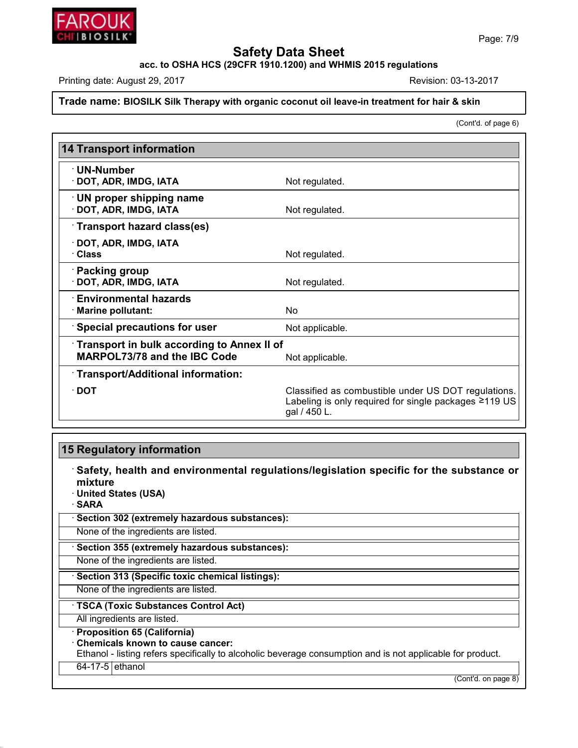

# **Trade name: BIOSILK Silk Therapy with organic coconut oil leave-in treatment for hair & skin**<br> **Printing date: August 29, 2017**<br> **Trade name: BIOSILK Silk Therapy with organic coconut oil leave-in treatment for hair & ski**

 $\frac{1}{k}$  skin<br>
(Cont'd. of page 6)

|                                                                                   | (Cont'd. of page 6)                                                                                                          |
|-----------------------------------------------------------------------------------|------------------------------------------------------------------------------------------------------------------------------|
| <b>14 Transport information</b>                                                   |                                                                                                                              |
| <b>UN-Number</b><br>· DOT, ADR, IMDG, IATA                                        | Not regulated.                                                                                                               |
| UN proper shipping name<br>· DOT, ADR, IMDG, IATA                                 | Not regulated.                                                                                                               |
| Transport hazard class(es)                                                        |                                                                                                                              |
| · DOT, ADR, IMDG, IATA<br><b>Class</b>                                            | Not regulated.                                                                                                               |
| <b>Packing group</b><br>DOT, ADR, IMDG, IATA                                      | Not regulated.                                                                                                               |
| <b>Environmental hazards</b><br>Marine pollutant:                                 | <b>No</b>                                                                                                                    |
| Special precautions for user                                                      | Not applicable.                                                                                                              |
| Transport in bulk according to Annex II of<br><b>MARPOL73/78 and the IBC Code</b> | Not applicable.                                                                                                              |
| · Transport/Additional information:                                               |                                                                                                                              |
| $\cdot$ DOT                                                                       | Classified as combustible under US DOT regulations.<br>Labeling is only required for single packages ≥119 US<br>gal / 450 L. |

45.2.18

· **Safety, health and environmental regulations/legislation specific for the substance or** mixture<br>**· United States (USA) 15 Regulatory information<br>
Safety, health and environmental regulati<br>
mixture<br>
United States (USA)<br>
SARA<br>
Section 302 (extremely hazardous substances):** · **SARA** • **Safety, health and environmental regulations/**<br>• United States (USA)<br>• **SARA**<br>• Section 302 (extremely hazardous substances):<br>None of the ingredients are listed. Mone of the ingredients are listed.<br> **SARA**<br> **Section 302 (extremely hazardous substances):**<br>
None of the ingredients are listed.<br>
None of the ingredients are listed.<br>
None of the ingredients are listed. None of the ingredients are listed.<br>
None of the ingredients are listed.<br> **• Section 355 (extremely hazardous substances):**<br>
None of the ingredients are listed.<br>
• **Section 313 (Specific toxic chemical listings):**<br>
None of None of the ingredients are listed.<br> **· Section 355 (extremely hazardous substances):**<br>
None of the ingredients are listed.<br> **· Section 313 (Specific toxic chemical listings):**<br>
None of the ingredients are listed.<br> **· TSCA Example 313 (Specific toxic chemical listings):**<br>None of the ingredients are listed.<br>**· TSCA (Toxic Substances Control Act)**<br>All ingredients are listed.<br>**· Proposition 65 (California)**<br>· Chemicals known to cause cancer: **TSCA (Toxic Substances Control Act)**<br>
All ingredients are listed.<br> **Proposition 65 (California)**<br> **Chemicals known to cause cancer:**<br>
Ethanol - listing refers specifically to alcoholic be TSCA (Toxic Substances Control Act)<br>All ingredients are listed.<br>Proposition 65 (California)<br>Chemicals known to cause cancer:<br>Ethanol - listing refers specifically to alcoholic beverage consumption and is not applicable for Proposition 65 (California)<br>Chemicals known to cause<br>Ethanol - listing refers specif<br>64-17-5 ethanol for product.<br>(Cont'd. on page 8)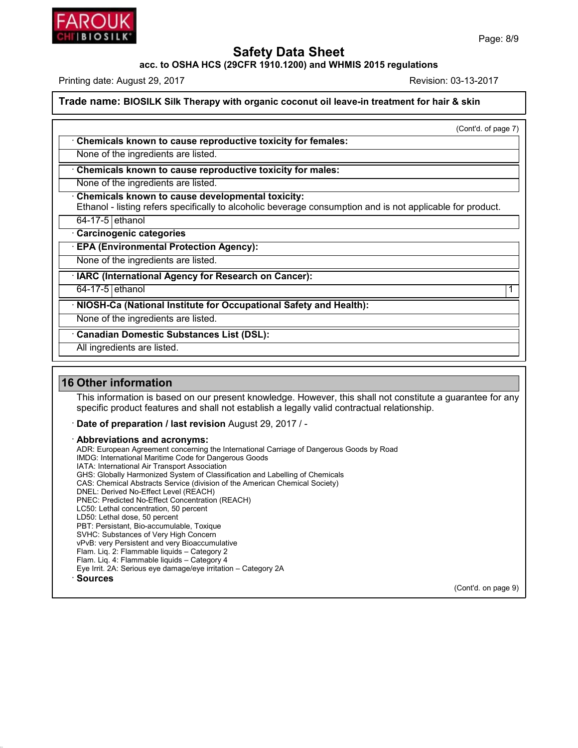

**Trade name: BIOSILK Silk Therapy with organic coconut oil leave-in treatment for hair & skin** Trade name: BIOSILK Silk Therapy with organic coconut oil leave-in treatment for hair & skin<br>
Chemicals known to cause reproductive toxicity for females:<br>
None of the ingredients are listed.<br>
Chemicals known to cause repro

 $\frac{1}{k}$  skin<br>
(Cont'd. of page 7)

None of the ingredients are listed.<br> **• Chemicals known to cause reproductive toxicity for females:**<br>
None of the ingredients are listed.<br>
• **Chemicals known to cause reproductive toxicity for males:**<br>
• None of the ingred

**Chemicals known to cause repro**<br>None of the ingredients are listed.<br>**Chemicals known to cause devel**<br>Ethanol - listing refers specifically to<br>64-17-5 ethanol<br>**Carcinogenic categories**<br>**EPA (Environmental Protection A** 

**Chemicals known to cause reproductive toxicity for females:**<br>None of the ingredients are listed.<br>**• Chemicals known to cause reproductive toxicity for males:**<br>None of the ingredients are listed.<br>• **Chemicals known to caus** None of the ingredients are listed.<br>
Chemicals known to cause reproductive toxicity for males:<br>
None of the ingredients are listed.<br>
Chemicals known to cause developmental toxicity:<br>
Ethanol - listing refers specifically t • **Chemicals known to cause developmental toxicit**<br>Ethanol - listing refers specifically to alcoholic bevera<br>64-17-5 ethanol<br>**• Carcinogenic categories**<br>• **EPA (Environmental Protection Agency):**<br>None of the ingredients ar Ethanol - listing refers specifically to alcoholic beverage consumption 64-17-5 ethanol<br>
• **Carcinogenic categories**<br>
• **EPA (Environmental Protection Agency):**<br>
None of the ingredients are listed.<br>
• **IARC (International** 

EPA (Environmental Protection Agency):<br>
None of the ingredients are listed.<br>
IARC (International Agency for Research on Cancer):<br>
64-17-5 ethanol (International Institute for Occupational Safety and Health): None of the ingredients are listed.<br> **EXEC (International Agency for Research on Cancer):**<br>
64-17-5 ethanol<br> **NIOSH-Ca (National Institute for Occupational Safety and Health):**<br>
None of the ingredients are listed. None of the ingredients are listed.<br> **EXACTE (International Agency for Research on Cancer):**<br> **CACTE (Institute Substances Contational Safety a**<br>
None of the ingredients are listed.<br> **Canadian Domestic Substances List (DSL NIOSH-Ca (National Institute for Ockhoon**<br>
NIOSH-Ca (National Institute for Ockhoone of the ingredients are listed.<br>
Canadian Domestic Substances Lis<br>
All ingredients are listed.

45.2.18

**16 Other information**<br> **16 Other information**<br>
This information<br>
This information<br>
This information is based on our prospecific product features and shall if This information<br>This information is based on our present knowledge. However, this shall not constitute a guarantee for any<br>specific product features and shall not establish a legally valid contractual relationship. Softer information<br>
This information is based on our present knowledge. However, this shall not constitute a gual<br>
specific product features and shall not establish a legally valid contractual relationship.<br> **Date of prepa** 

This information is based on our preser<br>specific product features and shall not  $\epsilon$ <br>**· Date of preparation / last revision** Au<br>**· Abbreviations and acronyms:**<br>ADR: European Agreement concerning the International Maritime specific product features and shall not establish a legally valid contractual relationship.<br>**Date of preparation / last revision** August 29, 2017 / -<br>**Abbreviations and acronyms:**<br>ADR: European Agreement concerning the Int Date of preparation / last revision August 29, 2017 / -<br>Abbreviations and acronyms:<br>ADR: European Agreement concerning the International Carriage of I<br>IMDG: International Maritime Code for Dangerous Goods<br>IATA: Internation Date of preparation / last revision August<br>Abbreviations and acronyms:<br>ADR: European Agreement concerning the Internation<br>IMDG: International Maritime Code for Dangerous Go<br>IATA: International Air Transport Association<br>GHS **Abbreviations and acronyms:**<br>ADR: European Agreement concerning the International Carriage of Dangerous Goods I<br>IMDG: International Maritime Code for Dangerous Goods<br>IATA: International Air Transport Association<br>CHS: Chem **AbbreViations and acronyms:**<br>ADR: European Agreement concerning the International Carriage of Dangerous Goods b<br>IMDG: International Maritime Code for Dangerous Goods<br>IATA: International Air Transport Association<br>CHS: Glob IMDG: International Maritime Code for Dangerous Goods<br>
IATA: International Air Transport Association<br>
GHS: Globally Harmonized System of Classification and Labelling of Chemicals<br>
CAS: Chemical Abstracts Service ((REACH)<br> IMDG: International Maritime Code for Dangerous Goods<br>IATA: International Air Transport Association<br>GHS: Globally Harmonized System of Classification and Labe<br>CAS: Chemical Abstracts Service (division of the American C<br>DNE IATA: International Air Transport Association<br>GHS: Globally Harmonized System of Classification<br>CAS: Chemical Abstracts Service (division of the *A*<br>DNEL: Derived No-Effect Level (REACH)<br>PNEC: Predicted No-Effect Concentra GHS: Globally Harmonized System of Cla<br>CAS: Chemical Abstracts Service (divisio<br>DNEL: Derived No-Effect Level (REACH)<br>PNEC: Predicted No-Effect Concentration<br>LC50: Lethal concentration, 50 percent<br>LD50: Lethal dose, 50 per CAS: Chemical Abstracts Service (division of the Ame<br>DNEL: Derived No-Effect Level (REACH)<br>PNEC: Predicted No-Effect Concentration (REACH)<br>LC50: Lethal concentration, 50 percent<br>LD50: Lethal dose, 50 percent<br>PBT: Persistan DNEL: Derived No-Effect Level (REACH)<br>PNEC: Predicted No-Effect Concentration (REACH)<br>LC50: Lethal concentration, 50 percent<br>LD50: Lethal dose, 50 percent<br>PBT: Persistant, Bio-accumulable, Toxique<br>SVHC: Substances of Very PNEC: Predicted No-Effect Concentration (REACH)<br>LC50: Lethal concentration, 50 percent<br>LD50: Lethal dose, 50 percent<br>PBT: Persistant, Bio-accumulable, Toxique<br>SVHC: Substances of Very High Concern<br>VPvB: very Persistent and LC50: Lethal concentration, 50 percent<br>LD50: Lethal dose, 50 percent<br>PBT: Persistant, Bio-accumulable, Toxique<br>SVHC: Substances of Very High Concern<br>VPvB: very Persistent and very Bioaccumulative<br>Flam. Liq. 2: Flammable li LD50: Lethal dose, 50 percent<br>
PBT: Persistant, Bio-accumulable, Toxique<br>
SVHC: Substances of Very High Concern<br>
VPvB: very Persistent and very Bioaccumulative<br>
Flam. Liq. 2: Flammable liquids – Category 2<br>
Eve Irrit. 2A: PBT: Persistant, Bio-accumulable, Toxique<br>SVHC: Substances of Very High Concern<br>vPvB: very Persistent and very Bioaccumulative<br>Flam. Liq. 2: Flammable liquids – Category 2<br>Flam. Liq. 4: Flammable liquids – Category 4<br>Eye I · **Sources**

(Cont'd. on page 9)